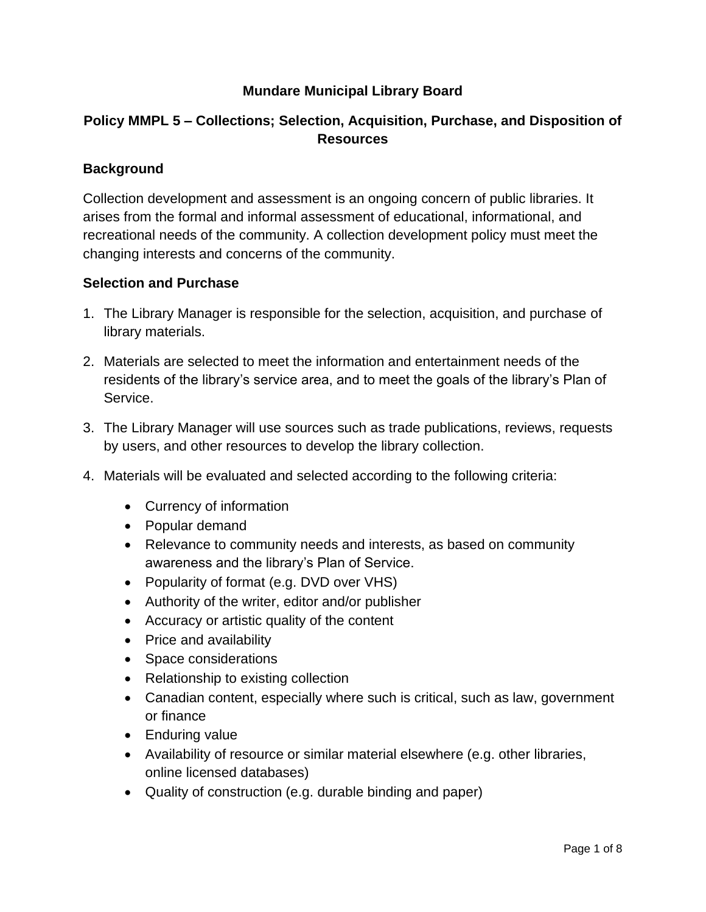### **Mundare Municipal Library Board**

# **Policy MMPL 5 – Collections; Selection, Acquisition, Purchase, and Disposition of Resources**

#### **Background**

Collection development and assessment is an ongoing concern of public libraries. It arises from the formal and informal assessment of educational, informational, and recreational needs of the community. A collection development policy must meet the changing interests and concerns of the community.

#### **Selection and Purchase**

- 1. The Library Manager is responsible for the selection, acquisition, and purchase of library materials.
- 2. Materials are selected to meet the information and entertainment needs of the residents of the library's service area, and to meet the goals of the library's Plan of Service.
- 3. The Library Manager will use sources such as trade publications, reviews, requests by users, and other resources to develop the library collection.
- 4. Materials will be evaluated and selected according to the following criteria:
	- Currency of information
	- Popular demand
	- Relevance to community needs and interests, as based on community awareness and the library's Plan of Service.
	- Popularity of format (e.g. DVD over VHS)
	- Authority of the writer, editor and/or publisher
	- Accuracy or artistic quality of the content
	- Price and availability
	- Space considerations
	- Relationship to existing collection
	- Canadian content, especially where such is critical, such as law, government or finance
	- Enduring value
	- Availability of resource or similar material elsewhere (e.g. other libraries, online licensed databases)
	- Quality of construction (e.g. durable binding and paper)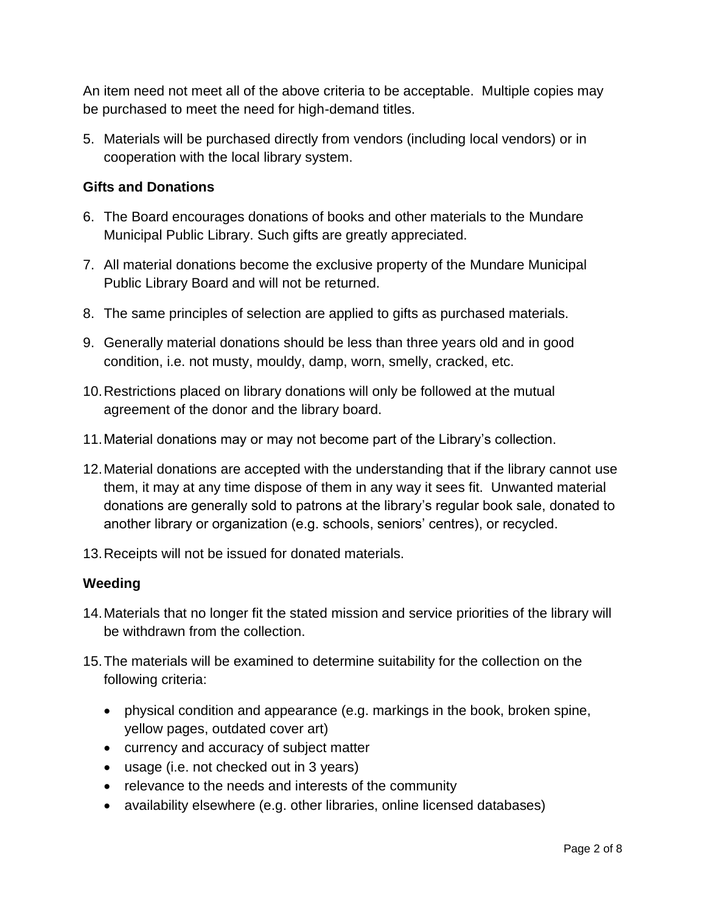An item need not meet all of the above criteria to be acceptable. Multiple copies may be purchased to meet the need for high-demand titles.

5. Materials will be purchased directly from vendors (including local vendors) or in cooperation with the local library system.

## **Gifts and Donations**

- 6. The Board encourages donations of books and other materials to the Mundare Municipal Public Library. Such gifts are greatly appreciated.
- 7. All material donations become the exclusive property of the Mundare Municipal Public Library Board and will not be returned.
- 8. The same principles of selection are applied to gifts as purchased materials.
- 9. Generally material donations should be less than three years old and in good condition, i.e. not musty, mouldy, damp, worn, smelly, cracked, etc.
- 10.Restrictions placed on library donations will only be followed at the mutual agreement of the donor and the library board.
- 11.Material donations may or may not become part of the Library's collection.
- 12.Material donations are accepted with the understanding that if the library cannot use them, it may at any time dispose of them in any way it sees fit. Unwanted material donations are generally sold to patrons at the library's regular book sale, donated to another library or organization (e.g. schools, seniors' centres), or recycled.
- 13.Receipts will not be issued for donated materials.

#### **Weeding**

- 14.Materials that no longer fit the stated mission and service priorities of the library will be withdrawn from the collection.
- 15.The materials will be examined to determine suitability for the collection on the following criteria:
	- physical condition and appearance (e.g. markings in the book, broken spine, yellow pages, outdated cover art)
	- currency and accuracy of subject matter
	- usage (i.e. not checked out in 3 years)
	- relevance to the needs and interests of the community
	- availability elsewhere (e.g. other libraries, online licensed databases)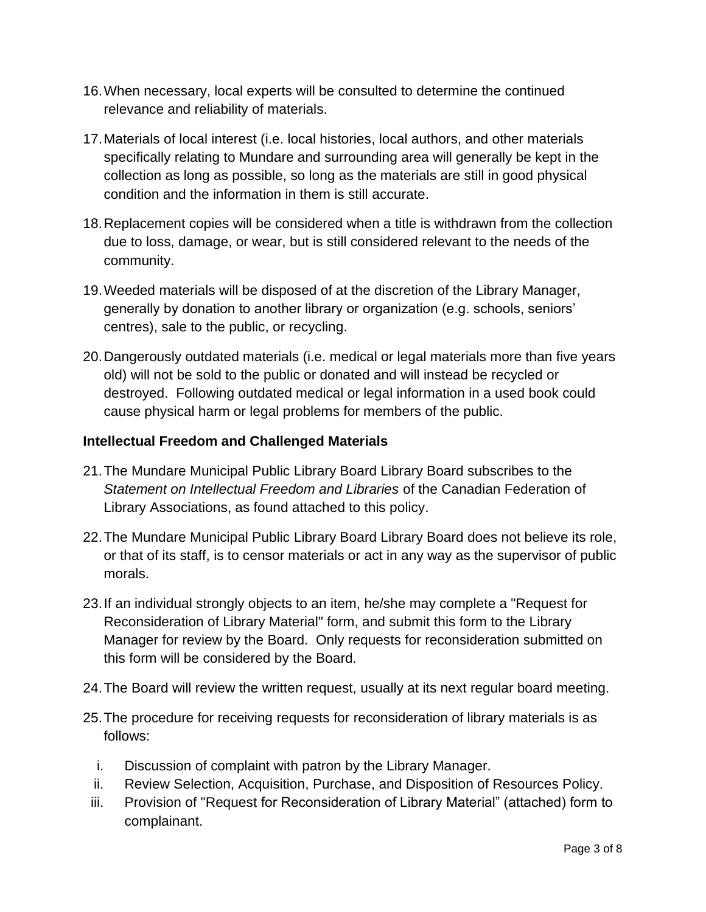- 16.When necessary, local experts will be consulted to determine the continued relevance and reliability of materials.
- 17.Materials of local interest (i.e. local histories, local authors, and other materials specifically relating to Mundare and surrounding area will generally be kept in the collection as long as possible, so long as the materials are still in good physical condition and the information in them is still accurate.
- 18.Replacement copies will be considered when a title is withdrawn from the collection due to loss, damage, or wear, but is still considered relevant to the needs of the community.
- 19.Weeded materials will be disposed of at the discretion of the Library Manager, generally by donation to another library or organization (e.g. schools, seniors' centres), sale to the public, or recycling.
- 20.Dangerously outdated materials (i.e. medical or legal materials more than five years old) will not be sold to the public or donated and will instead be recycled or destroyed. Following outdated medical or legal information in a used book could cause physical harm or legal problems for members of the public.

#### **Intellectual Freedom and Challenged Materials**

- 21.The Mundare Municipal Public Library Board Library Board subscribes to the *Statement on Intellectual Freedom and Libraries* of the Canadian Federation of Library Associations, as found attached to this policy.
- 22.The Mundare Municipal Public Library Board Library Board does not believe its role, or that of its staff, is to censor materials or act in any way as the supervisor of public morals.
- 23.If an individual strongly objects to an item, he/she may complete a "Request for Reconsideration of Library Material" form, and submit this form to the Library Manager for review by the Board. Only requests for reconsideration submitted on this form will be considered by the Board.
- 24.The Board will review the written request, usually at its next regular board meeting.
- 25.The procedure for receiving requests for reconsideration of library materials is as follows:
	- i. Discussion of complaint with patron by the Library Manager.
	- ii. Review Selection, Acquisition, Purchase, and Disposition of Resources Policy.
- iii. Provision of "Request for Reconsideration of Library Material" (attached) form to complainant.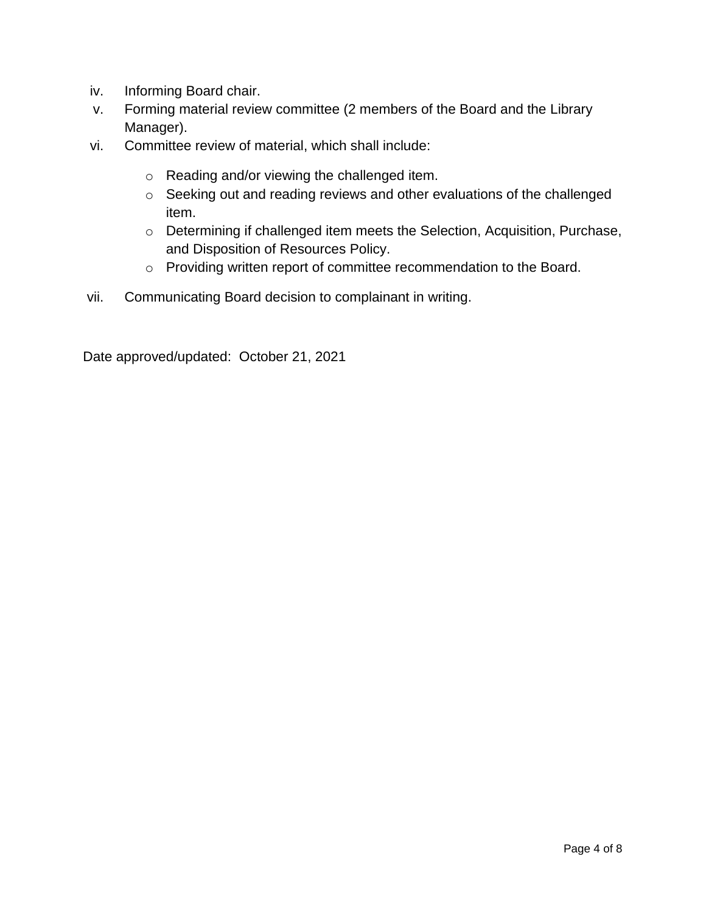- iv. Informing Board chair.
- v. Forming material review committee (2 members of the Board and the Library Manager).
- vi. Committee review of material, which shall include:
	- o Reading and/or viewing the challenged item.
	- o Seeking out and reading reviews and other evaluations of the challenged item.
	- o Determining if challenged item meets the Selection, Acquisition, Purchase, and Disposition of Resources Policy.
	- o Providing written report of committee recommendation to the Board.
- vii. Communicating Board decision to complainant in writing.

Date approved/updated: October 21, 2021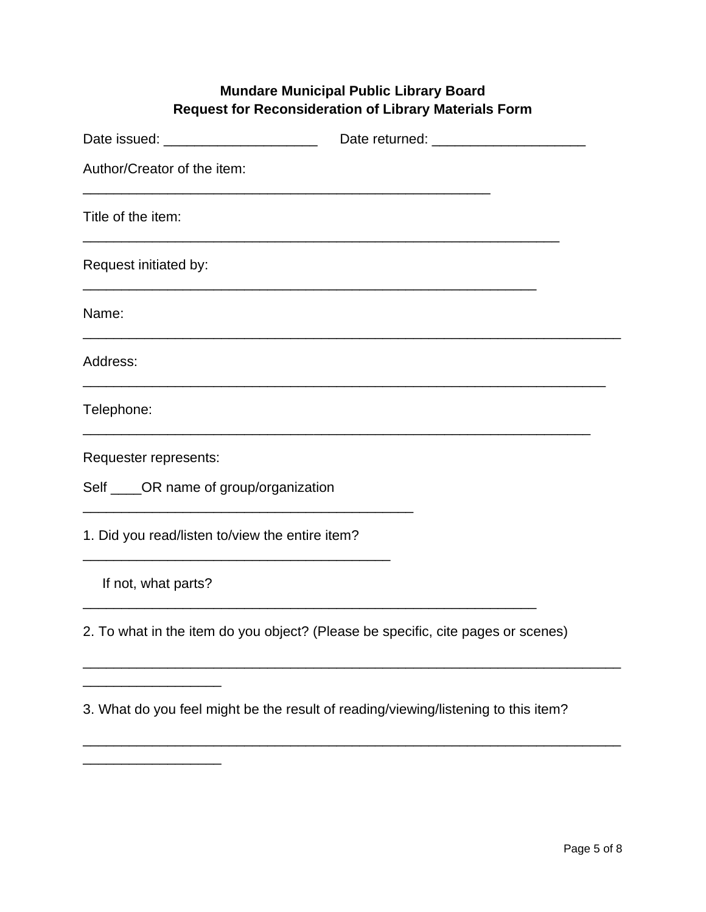# **Mundare Municipal Public Library Board Request for Reconsideration of Library Materials Form**

| Author/Creator of the item:                                                        |                                                                                                                      |
|------------------------------------------------------------------------------------|----------------------------------------------------------------------------------------------------------------------|
| Title of the item:                                                                 | <u> 1989 - Jan Samuel Barbara, margaret a shekara ta 1989 - An tsara tsara tsara tsara tsara tsara tsara tsara t</u> |
| Request initiated by:                                                              |                                                                                                                      |
| Name:                                                                              |                                                                                                                      |
| Address:                                                                           |                                                                                                                      |
| Telephone:                                                                         |                                                                                                                      |
| Requester represents:                                                              |                                                                                                                      |
| Self ____OR name of group/organization                                             |                                                                                                                      |
| 1. Did you read/listen to/view the entire item?                                    |                                                                                                                      |
| If not, what parts?                                                                |                                                                                                                      |
| 2. To what in the item do you object? (Please be specific, cite pages or scenes)   |                                                                                                                      |
| 3. What do you feel might be the result of reading/viewing/listening to this item? |                                                                                                                      |

\_\_\_\_\_\_\_\_\_\_\_\_\_\_\_\_\_\_\_\_\_\_\_\_\_\_\_\_\_\_\_\_\_\_\_\_\_\_\_\_\_\_\_\_\_\_\_\_\_\_\_\_\_\_\_\_\_\_\_\_\_\_\_\_\_\_\_\_\_\_

\_\_\_\_\_\_\_\_\_\_\_\_\_\_\_\_\_\_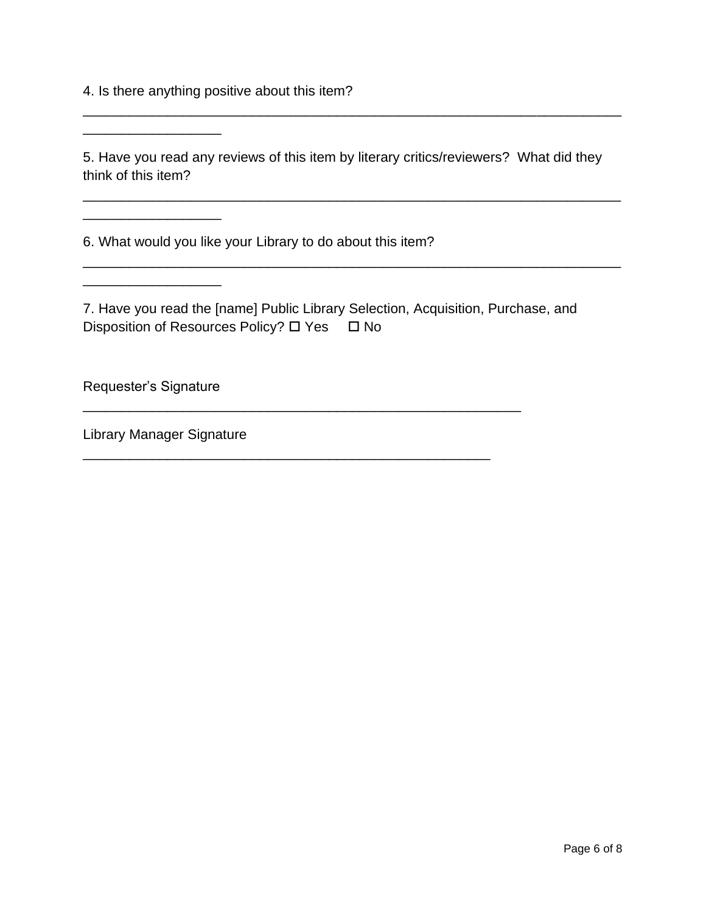4. Is there anything positive about this item?

5. Have you read any reviews of this item by literary critics/reviewers? What did they think of this item?

\_\_\_\_\_\_\_\_\_\_\_\_\_\_\_\_\_\_\_\_\_\_\_\_\_\_\_\_\_\_\_\_\_\_\_\_\_\_\_\_\_\_\_\_\_\_\_\_\_\_\_\_\_\_\_\_\_\_\_\_\_\_\_\_\_\_\_\_\_\_

\_\_\_\_\_\_\_\_\_\_\_\_\_\_\_\_\_\_\_\_\_\_\_\_\_\_\_\_\_\_\_\_\_\_\_\_\_\_\_\_\_\_\_\_\_\_\_\_\_\_\_\_\_\_\_\_\_\_\_\_\_\_\_\_\_\_\_\_\_\_

\_\_\_\_\_\_\_\_\_\_\_\_\_\_\_\_\_\_\_\_\_\_\_\_\_\_\_\_\_\_\_\_\_\_\_\_\_\_\_\_\_\_\_\_\_\_\_\_\_\_\_\_\_\_\_\_\_\_\_\_\_\_\_\_\_\_\_\_\_\_

6. What would you like your Library to do about this item?

7. Have you read the [name] Public Library Selection, Acquisition, Purchase, and Disposition of Resources Policy?  $\Box$  Yes  $\Box$  No

\_\_\_\_\_\_\_\_\_\_\_\_\_\_\_\_\_\_\_\_\_\_\_\_\_\_\_\_\_\_\_\_\_\_\_\_\_\_\_\_\_\_\_\_\_\_\_\_\_\_\_\_\_\_\_\_\_

\_\_\_\_\_\_\_\_\_\_\_\_\_\_\_\_\_\_\_\_\_\_\_\_\_\_\_\_\_\_\_\_\_\_\_\_\_\_\_\_\_\_\_\_\_\_\_\_\_\_\_\_\_

Requester's Signature

\_\_\_\_\_\_\_\_\_\_\_\_\_\_\_\_\_\_

\_\_\_\_\_\_\_\_\_\_\_\_\_\_\_\_\_\_

\_\_\_\_\_\_\_\_\_\_\_\_\_\_\_\_\_\_

Library Manager Signature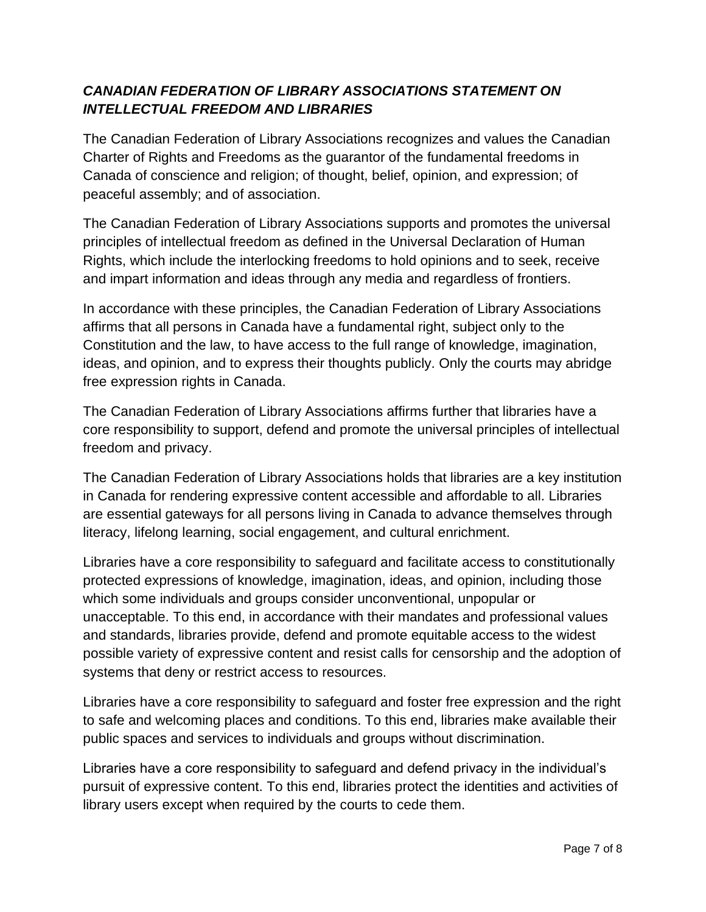# *CANADIAN FEDERATION OF LIBRARY ASSOCIATIONS STATEMENT ON INTELLECTUAL FREEDOM AND LIBRARIES*

The Canadian Federation of Library Associations recognizes and values the Canadian Charter of Rights and Freedoms as the guarantor of the fundamental freedoms in Canada of conscience and religion; of thought, belief, opinion, and expression; of peaceful assembly; and of association.

The Canadian Federation of Library Associations supports and promotes the universal principles of intellectual freedom as defined in the Universal Declaration of Human Rights, which include the interlocking freedoms to hold opinions and to seek, receive and impart information and ideas through any media and regardless of frontiers.

In accordance with these principles, the Canadian Federation of Library Associations affirms that all persons in Canada have a fundamental right, subject only to the Constitution and the law, to have access to the full range of knowledge, imagination, ideas, and opinion, and to express their thoughts publicly. Only the courts may abridge free expression rights in Canada.

The Canadian Federation of Library Associations affirms further that libraries have a core responsibility to support, defend and promote the universal principles of intellectual freedom and privacy.

The Canadian Federation of Library Associations holds that libraries are a key institution in Canada for rendering expressive content accessible and affordable to all. Libraries are essential gateways for all persons living in Canada to advance themselves through literacy, lifelong learning, social engagement, and cultural enrichment.

Libraries have a core responsibility to safeguard and facilitate access to constitutionally protected expressions of knowledge, imagination, ideas, and opinion, including those which some individuals and groups consider unconventional, unpopular or unacceptable. To this end, in accordance with their mandates and professional values and standards, libraries provide, defend and promote equitable access to the widest possible variety of expressive content and resist calls for censorship and the adoption of systems that deny or restrict access to resources.

Libraries have a core responsibility to safeguard and foster free expression and the right to safe and welcoming places and conditions. To this end, libraries make available their public spaces and services to individuals and groups without discrimination.

Libraries have a core responsibility to safeguard and defend privacy in the individual's pursuit of expressive content. To this end, libraries protect the identities and activities of library users except when required by the courts to cede them.